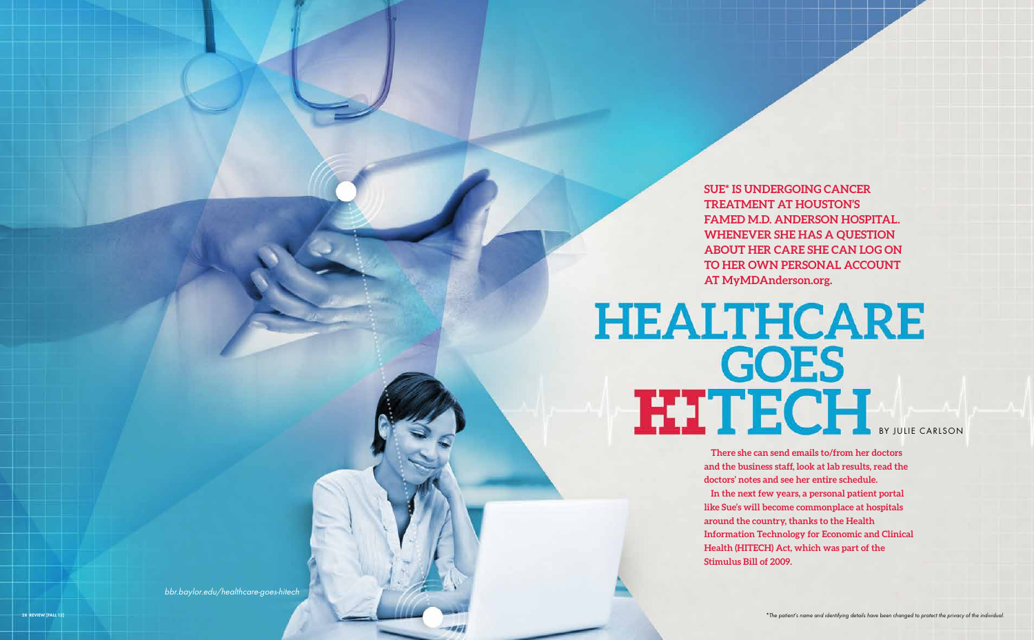**Sue\* is undergoing cancer treatment at Houston's famed M.D. Anderson hospital. Whenever she has a question about her care she can log on to her own personal account at MyMDAnderson.org.** 

## **HEALTHCARE BY JULIE CARLS**

**There she can send emails to/from her doctors and the business staff, look at lab results, read the doctors' notes and see her entire schedule.** 

**In the next few years, a personal patient portal like Sue's will become commonplace at hospitals around the country, thanks to the Health Information Technology for Economic and Clinical Health (HITECH) Act, which was part of the Stimulus Bill of 2009.**